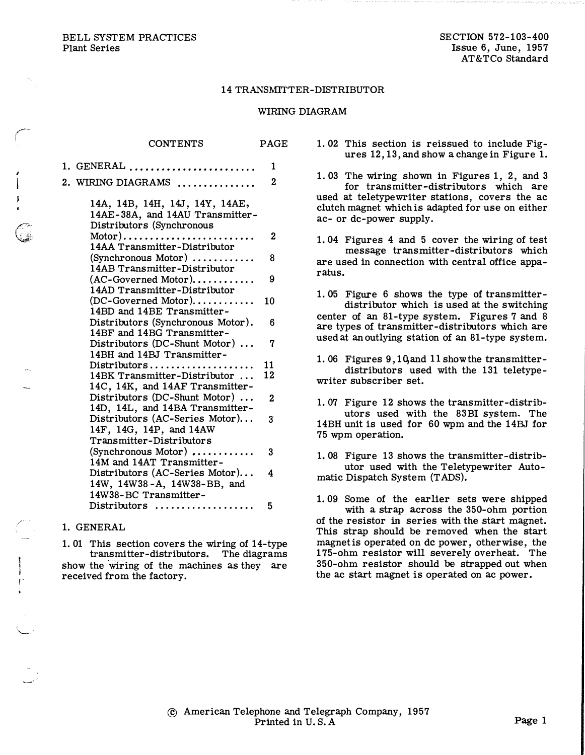BELL SYSTEM PRACTICES Plant Series

r

**I**  $\overline{1}$ 

. .

,/

,-.

 $\sim$  :

 $\tilde{\phantom{a}}$ 

## 14 TRANSMITTER-DISTRIBUTOR

## WIRING DIAGRAM

| CONTENTS                                                                                       | PAGE         |
|------------------------------------------------------------------------------------------------|--------------|
| 1. GENERAL                                                                                     | 1            |
| 2. WIRING DIAGRAMS                                                                             | 2            |
| 14A, 14B, 14H, 14J, 14Y, 14AE,<br>14AE-38A, and 14AU Transmitter-<br>Distributors (Synchronous |              |
| $Motor)$<br>14AA Transmitter-Distributor                                                       | 2            |
| $(Synchronous Motor)$<br>14AB Transmitter-Distributor                                          | 8            |
| $(AC-Governed Motor)$<br>14AD Transmitter-Distributor                                          | 9            |
| $(DC-Governed Motor)$<br>14BD and 14BE Transmitter-                                            | 10           |
| Distributors (Synchronous Motor).<br>14BF and 14BG Transmitter-                                | ճ            |
| Distributors (DC-Shunt Motor)<br>14BH and 14BJ Transmitter-                                    | 7            |
| $Distributions \ldots \ldots \ldots \ldots$                                                    | 11           |
| 14BK Transmitter-Distributor<br>14C, 14K, and 14AF Transmitter-                                | 12           |
| Distributors (DC-Shunt Motor)<br>14D, 14L, and 14BA Transmitter-                               | $\mathbf{2}$ |
| Distributors (AC-Series Motor)<br>14F, 14G, 14P, and 14AW<br>Transmitter-Distributors          | 3            |
| $(Synchronous Motor)$<br>14M and 14AT Transmitter-                                             | 3            |
| Distributors (AC-Series Motor)<br>14W, 14W38-A, 14W38-BB, and<br>14W38-BC Transmitter-         | 4            |
| Distributors                                                                                   | 5            |

## 1. GENERAL

1. 01 This section covers the wiring of 14-type transmitter-distributors. The diagrams show the wiring of the machines as they are received from the factory.

1. 02 This section is reissued to include Figures 12, 13, and show a change in Figure 1.

1. 03 The wiring shown in Figures 1, 2, and 3 for transmitter-distributors which are used at teletypewriter stations, covers the ac clutch magnet which is adapted for use on either ac- or de-power supply.

1. 04 Figures 4 and 5 cover the wiring of test message transmitter-distributors which are used in connection with central office apparatus.

1. 05 Figure 6 shows the type of transmitterdistributor which is used at the switching center of an 81-type system. Figures 7 and 8 are types of transmitter-distributors which are used at an outlying station of an 81-type system.

1.06 Figures 9, 10, and 11 show the transmitterdistributors used with the 131 teletypewriter subscriber set.

1. 07 Figure 12 shows the transmitter-distributors used with the 83BI system. The 14BH unit is used for 60 wpm and the 14BJ for 75 wpm operation.

1. 08 Figure 13 shows the transmitter-distributor used with the Teletypewriter Automatic Dispatch System (T ADS).

1. 09 Some of the earlier sets were shipped with a strap across the 350-ohm portion of the resistor in series with the start magnet. This strap should be removed when the start magnet is operated on de power, otherwise, the 175-ohm resistor will severely overheat. The 350-ohm resistor should be strapped out when the ac start magnet is operated on ac power.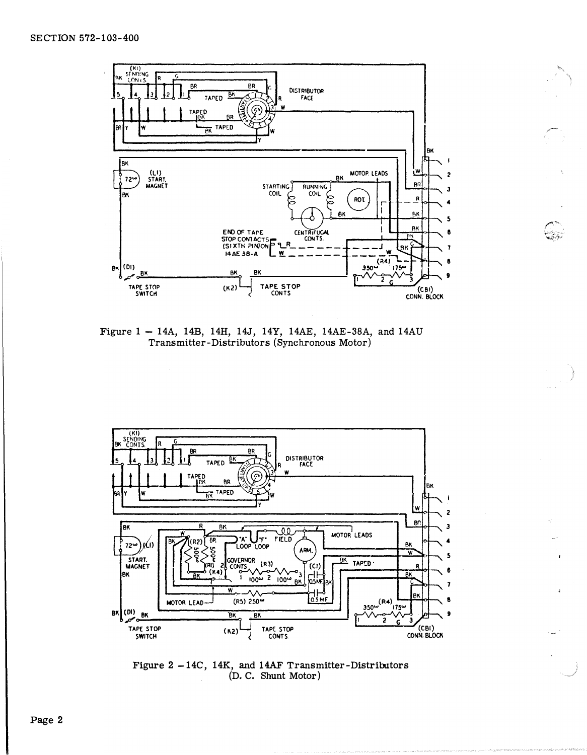

Figure 1 - 14A, 14B, 14H, 14J, 14Y, 14AE, 14AE-38A, and 14AU Transmitter-Distributors (Synchronous Motor)



Figure 2 -14C, 14K, and 14AF Transmitter-Distributors (D. C. Shunt Motor)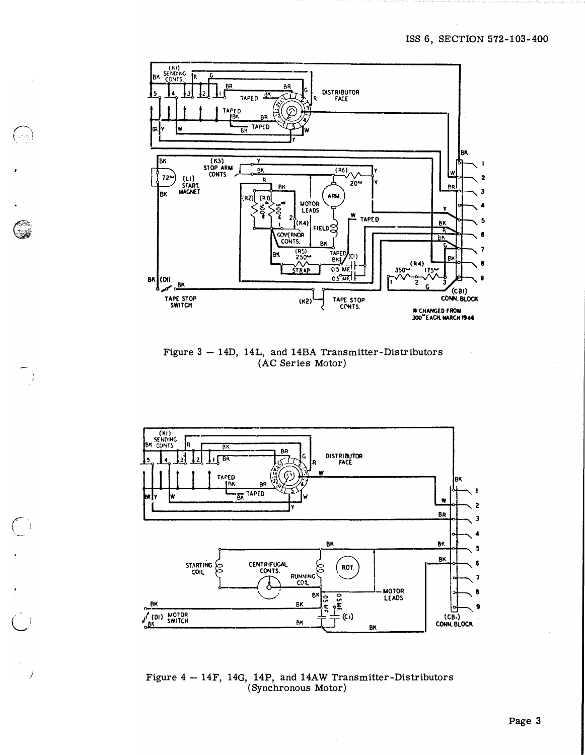

٤

 $\frac{1}{2}$ 

 $\bigcirc$ 

Ì

Figure 3 - 14D, 14L, and 14BA Transmitter-Distributors (AC Series Motor)



Figure  $4 - 14F$ , 14G, 14P, and 14AW Transmitter-Distributors<br>(Synchronous Motor)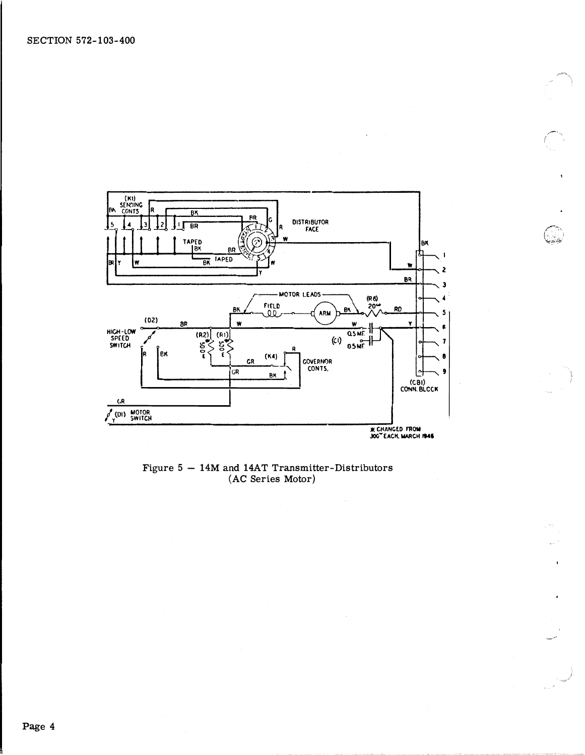

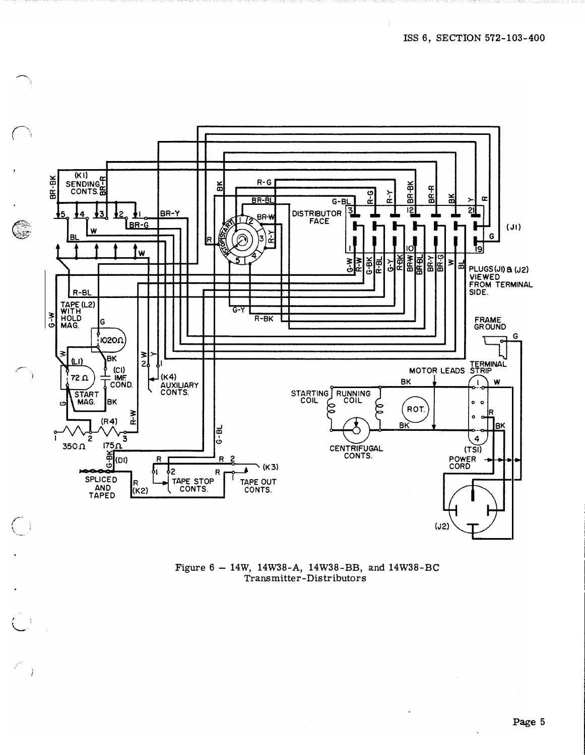

Figure 6 - 14W, 14W38-A, 14W38-BB, and 14W38-BC Transmitter-Distributors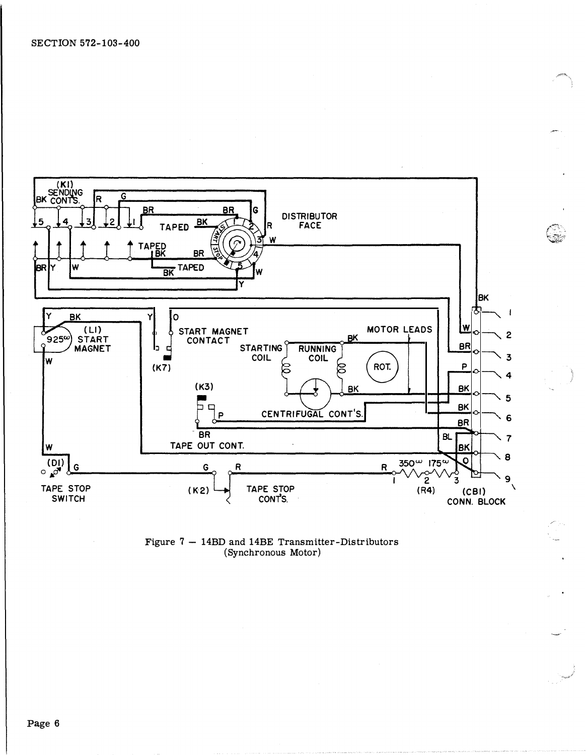

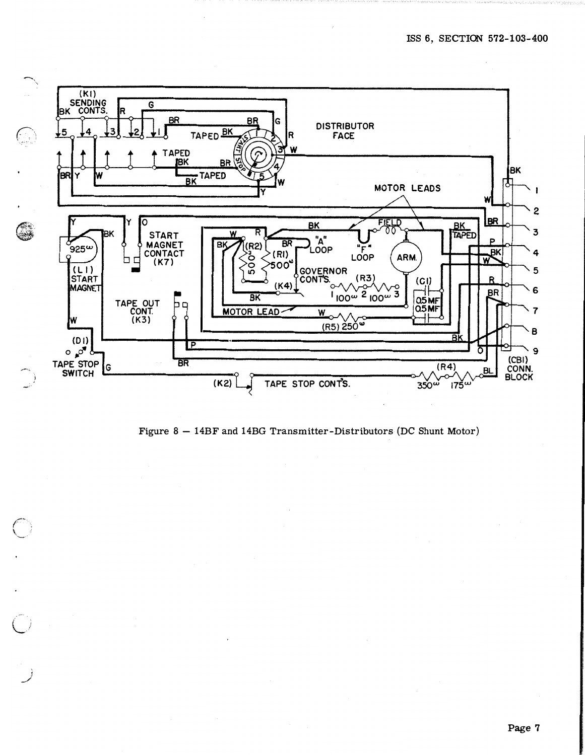

Figure 8 - 14BF and 14BG Transmitter-Distributors (DC Shunt Motor)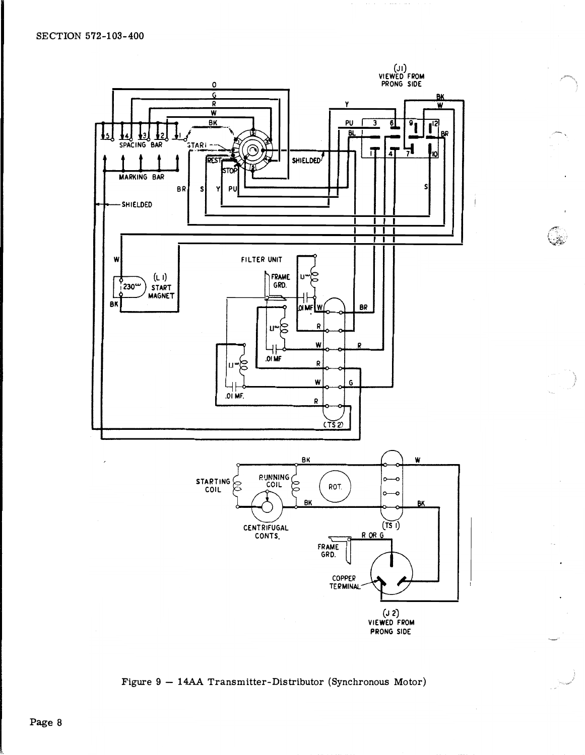

 $\widehat{\mathbb{C}}$ 

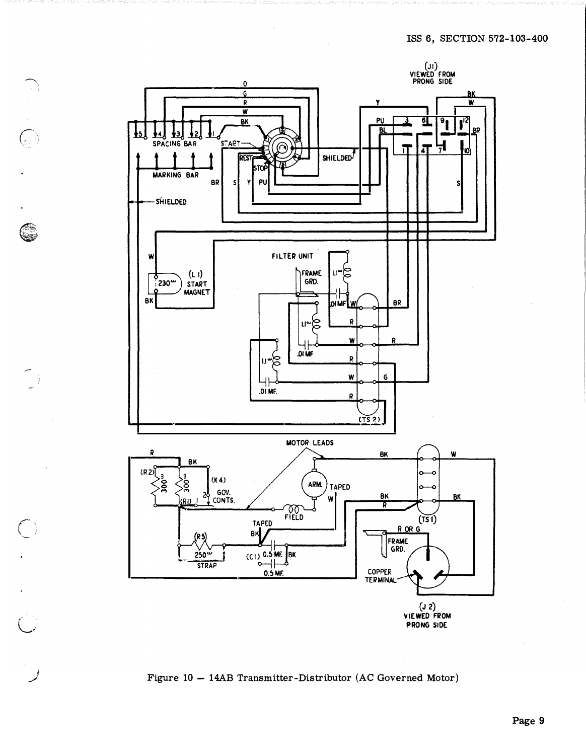

 $\mathbb{C}$ 

G

 $\bigcup$ 

 $\bigodot$ 

 $\overline{C}$ 

Figure 10 - 14AB Transmitter-Distributor (AC Governed Motor)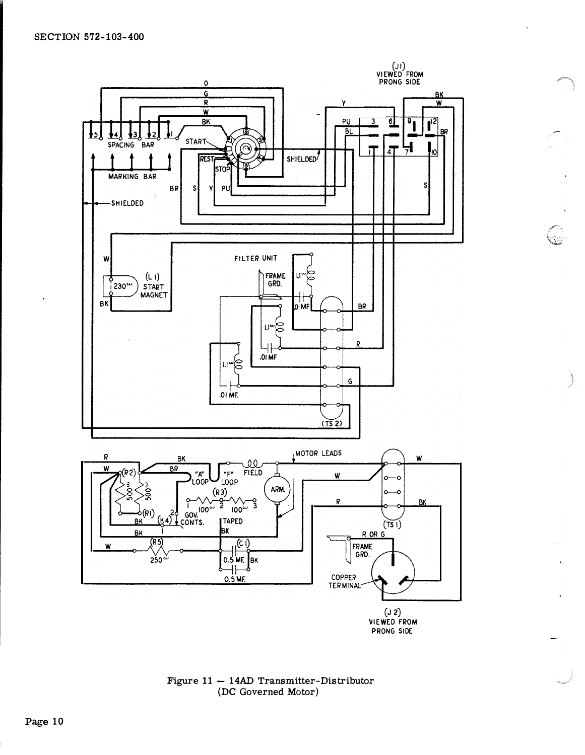

PRONG SIDE

.<br>Q2

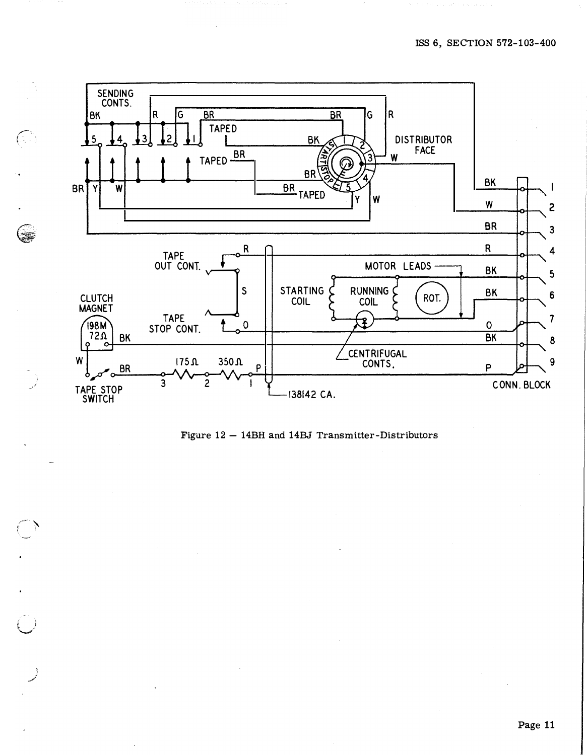

G.

٢

 $\left( \begin{array}{c} \lambda \end{array} \right)$ 

Figure 12 - 14BH and 14BJ Transmitter-Distributors